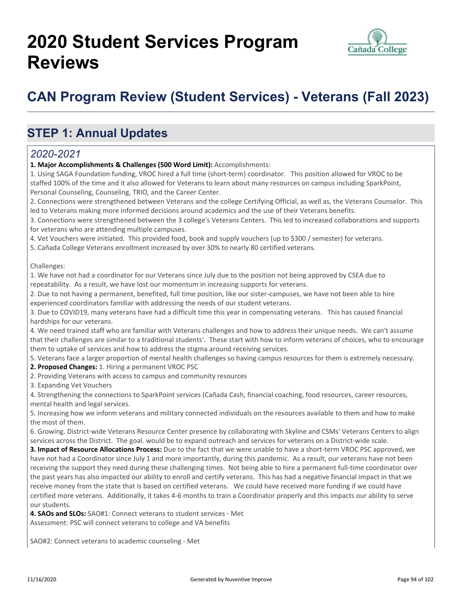# **2020 Student Services Program Reviews**



## **CAN Program Review (Student Services) - Veterans (Fall 2023)**

### **STEP 1: Annual Updates**

#### *2020-2021*

**1. Major Accomplishments & Challenges (500 Word Limit):** Accomplishments:

1. Using SAGA Foundation funding, VROC hired a full time (short-term) coordinator. This position allowed for VROC to be staffed 100% of the time and it also allowed for Veterans to learn about many resources on campus including SparkPoint, Personal Counseling, Counseling, TRIO, and the Career Center.

2. Connections were strengthened between Veterans and the college Certifying Official, as well as, the Veterans Counselor. This led to Veterans making more informed decisions around academics and the use of their Veterans benefits.

3. Connections were strengthened between the 3 college's Veterans Centers. This led to increased collaborations and supports for veterans who are attending multiple campuses.

4. Vet Vouchers were initiated. This provided food, book and supply vouchers (up to \$300 / semester) for veterans.

5. Cañada College Veterans enrollment increased by over 30% to nearly 80 certified veterans.

Challenges:

1. We have not had a coordinator for our Veterans since July due to the position not being approved by CSEA due to repeatability. As a result, we have lost our momentum in increasing supports for veterans.

2. Due to not having a permanent, benefited, full time position, like our sister-campuses, we have not been able to hire experienced coordinators familiar with addressing the needs of our student veterans.

3. Due to COVID19, many veterans have had a difficult time this year in compensating veterans. This has caused financial hardships for our veterans.

4. We need trained staff who are familiar with Veterans challenges and how to address their unique needs. We can't assume that their challenges are similar to a traditional students'. These start with how to inform veterans of choices, who to encourage them to uptake of services and how to address the stigma around receiving services.

5. Veterans face a larger proportion of mental health challenges so having campus resources for them is extremely necessary.

**2. Proposed Changes:** 1. Hiring a permanent VROC PSC

2. Providing Veterans with access to campus and community resources

3. Expanding Vet Vouchers

4. Strengthening the connections to SparkPoint services (Cañada Cash, financial coaching, food resources, career resources, mental health and legal services.

5. Increasing how we inform veterans and military connected individuals on the resources available to them and how to make the most of them.

6. Growing. District-wide Veterans Resource Center presence by collaborating with Skyline and CSMs' Veterans Centers to align services across the District. The goal. would be to expand outreach and services for veterans on a District-wide scale.

**3. Impact of Resource Allocations Process:** Due to the fact that we were unable to have a short-term VROC PSC approved, we have not had a Coordinator since July 1 and more importantly, during this pandemic. As a result, our veterans have not been receiving the support they need during these challenging times. Not being able to hire a permanent full-time coordinator over the past years has also impacted our ability to enroll and certify veterans. This has had a negative financial impact in that we receive money from the state that is based on certified veterans. We could have received more funding if we could have certified more veterans. Additionally, it takes 4-6 months to train a Coordinator properly and this impacts our ability to serve our students.

**4. SAOs and SLOs:** SAO#1: Connect veterans to student services - Met Assessment: PSC will connect veterans to college and VA benefits

SAO#2: Connect veterans to academic counseling - Met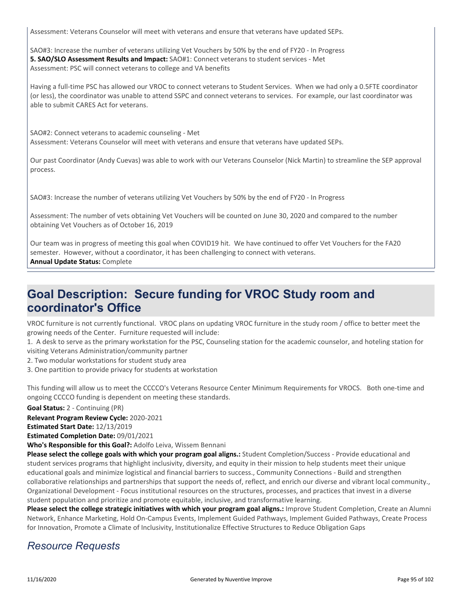Assessment: Veterans Counselor will meet with veterans and ensure that veterans have updated SEPs.

SAO#3: Increase the number of veterans utilizing Vet Vouchers by 50% by the end of FY20 - In Progress **5. SAO/SLO Assessment Results and Impact:** SAO#1: Connect veterans to student services - Met Assessment: PSC will connect veterans to college and VA benefits

Having a full-time PSC has allowed our VROC to connect veterans to Student Services. When we had only a 0.5FTE coordinator (or less), the coordinator was unable to attend SSPC and connect veterans to services. For example, our last coordinator was able to submit CARES Act for veterans.

SAO#2: Connect veterans to academic counseling - Met Assessment: Veterans Counselor will meet with veterans and ensure that veterans have updated SEPs.

Our past Coordinator (Andy Cuevas) was able to work with our Veterans Counselor (Nick Martin) to streamline the SEP approval process.

SAO#3: Increase the number of veterans utilizing Vet Vouchers by 50% by the end of FY20 - In Progress

Assessment: The number of vets obtaining Vet Vouchers will be counted on June 30, 2020 and compared to the number obtaining Vet Vouchers as of October 16, 2019

Our team was in progress of meeting this goal when COVID19 hit. We have continued to offer Vet Vouchers for the FA20 semester. However, without a coordinator, it has been challenging to connect with veterans. **Annual Update Status:** Complete

### **Goal Description: Secure funding for VROC Study room and coordinator's Office**

VROC furniture is not currently functional. VROC plans on updating VROC furniture in the study room / office to better meet the growing needs of the Center. Furniture requested will include:

1. A desk to serve as the primary workstation for the PSC, Counseling station for the academic counselor, and hoteling station for visiting Veterans Administration/community partner

2. Two modular workstations for student study area

3. One partition to provide privacy for students at workstation

This funding will allow us to meet the CCCCO's Veterans Resource Center Minimum Requirements for VROCS. Both one-time and ongoing CCCCO funding is dependent on meeting these standards.

**Goal Status:** 2 - Continuing (PR)

**Relevant Program Review Cycle:** 2020-2021

**Estimated Start Date:** 12/13/2019

**Estimated Completion Date:** 09/01/2021

**Who's Responsible for this Goal?:** Adolfo Leiva, Wissem Bennani

**Please select the college goals with which your program goal aligns.:** Student Completion/Success - Provide educational and student services programs that highlight inclusivity, diversity, and equity in their mission to help students meet their unique educational goals and minimize logistical and financial barriers to success., Community Connections - Build and strengthen collaborative relationships and partnerships that support the needs of, reflect, and enrich our diverse and vibrant local community., Organizational Development - Focus institutional resources on the structures, processes, and practices that invest in a diverse student population and prioritize and promote equitable, inclusive, and transformative learning.

Please select the college strategic initiatives with which your program goal aligns.: Improve Student Completion, Create an Alumni Network, Enhance Marketing, Hold On-Campus Events, Implement Guided Pathways, Implement Guided Pathways, Create Process for Innovation, Promote a Climate of Inclusivity, Institutionalize Effective Structures to Reduce Obligation Gaps

#### *Resource Requests*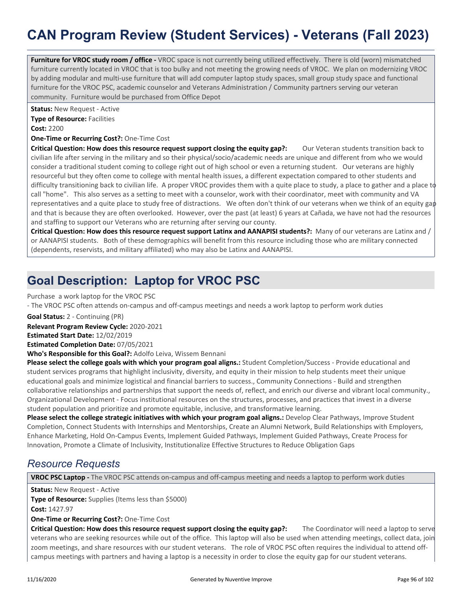## **CAN Program Review (Student Services) - Veterans (Fall 2023)**

**Furniture for VROC study room / office** - VROC space is not currently being utilized effectively. There is old (worn) mismatched furniture currently located in VROC that is too bulky and not meeting the growing needs of VROC. We plan on modernizing VROC by adding modular and multi-use furniture that will add computer laptop study spaces, small group study space and functional furniture for the VROC PSC, academic counselor and Veterans Administration / Community partners serving our veteran community. Furniture would be purchased from Office Depot

**Status:** New Request - Active

**Type of Resource: Facilities** 

**Cost:** 2200

**One-Time or Recurring Cost?:** One-Time Cost

**Critical Question: How does this resource request support closing the equity gap?:** Our Veteran students transition back to civilian life after serving in the military and so their physical/socio/academic needs are unique and different from who we would consider a traditional student coming to college right out of high school or even a returning student. Our veterans are highly resourceful but they often come to college with mental health issues, a different expectation compared to other students and difficulty transitioning back to civilian life. A proper VROC provides them with a quite place to study, a place to gather and a place to call "home". This also serves as a setting to meet with a counselor, work with their coordinator, meet with community and VA representatives and a quite place to study free of distractions. We often don't think of our veterans when we think of an equity gap and that is because they are often overlooked. However, over the past (at least) 6 years at Cañada, we have not had the resources and staffing to support our Veterans who are returning after serving our county.

**Critical Question: How does this resource request support Latinx and AANAPISI students?:** Many of our veterans are Latinx and / or AANAPISI students. Both of these demographics will benefit from this resource including those who are military connected (dependents, reservists, and military affiliated) who may also be Latinx and AANAPISI.

## **Goal Description: Laptop for VROC PSC**

Purchase a work laptop for the VROC PSC

- The VROC PSC often attends on-campus and off-campus meetings and needs a work laptop to perform work duties

**Goal Status:** 2 - Continuing (PR)

**Relevant Program Review Cycle:** 2020-2021

**Estimated Start Date:** 12/02/2019

**Estimated Completion Date:** 07/05/2021

**Who's Responsible for this Goal?:** Adolfo Leiva, Wissem Bennani

**Please select the college goals with which your program goal aligns.:** Student Completion/Success - Provide educational and student services programs that highlight inclusivity, diversity, and equity in their mission to help students meet their unique educational goals and minimize logistical and financial barriers to success., Community Connections - Build and strengthen collaborative relationships and partnerships that support the needs of, reflect, and enrich our diverse and vibrant local community., Organizational Development - Focus institutional resources on the structures, processes, and practices that invest in a diverse student population and prioritize and promote equitable, inclusive, and transformative learning.

**Please select the college strategic initiatives with which your program goal aligns.:** Develop Clear Pathways, Improve Student Completion, Connect Students with Internships and Mentorships, Create an Alumni Network, Build Relationships with Employers, Enhance Marketing, Hold On-Campus Events, Implement Guided Pathways, Implement Guided Pathways, Create Process for Innovation, Promote a Climate of Inclusivity, Institutionalize Effective Structures to Reduce Obligation Gaps

### *Resource Requests*

**VROC PSC Laptop -** The VROC PSC attends on-campus and off-campus meeting and needs a laptop to perform work duties

**Status:** New Request - Active

**Type of Resource:** Supplies (Items less than \$5000)

**Cost:** 1427.97

**One-Time or Recurring Cost?:** One-Time Cost

**Critical Question: How does this resource request support closing the equity gap?:** The Coordinator will need a laptop to serve veterans who are seeking resources while out of the office. This laptop will also be used when attending meetings, collect data, join zoom meetings, and share resources with our student veterans. The role of VROC PSC often requires the individual to attend offcampus meetings with partners and having a laptop is a necessity in order to close the equity gap for our student veterans.